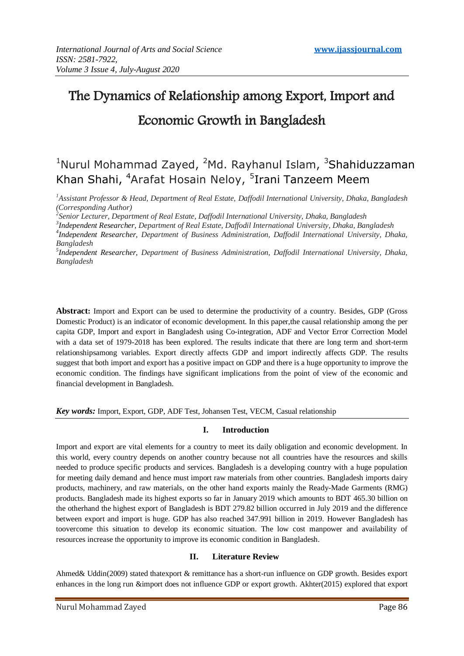# The Dynamics of Relationship among Export, Import and Economic Growth in Bangladesh

# <sup>1</sup>Nurul Mohammad Zayed, <sup>2</sup>Md. Rayhanul Islam, <sup>3</sup>Shahiduzzaman Khan Shahi, <sup>4</sup>Arafat Hosain Neloy, <sup>5</sup>Irani Tanzeem Meem

*<sup>1</sup>Assistant Professor & Head, Department of Real Estate, Daffodil International University, Dhaka, Bangladesh (Corresponding Author)*

*2 Senior Lecturer, Department of Real Estate, Daffodil International University, Dhaka, Bangladesh*

*3 Independent Researcher, Department of Real Estate, Daffodil International University, Dhaka, Bangladesh*

*4 Independent Researcher, Department of Business Administration, Daffodil International University, Dhaka, Bangladesh*

*5 Independent Researcher, Department of Business Administration, Daffodil International University, Dhaka, Bangladesh*

**Abstract:** Import and Export can be used to determine the productivity of a country. Besides, GDP (Gross Domestic Product) is an indicator of economic development. In this paper,the causal relationship among the per capita GDP, Import and export in Bangladesh using Co-integration, ADF and Vector Error Correction Model with a data set of 1979-2018 has been explored. The results indicate that there are long term and short-term relationshipsamong variables. Export directly affects GDP and import indirectly affects GDP. The results suggest that both import and export has a positive impact on GDP and there is a huge opportunity to improve the economic condition. The findings have significant implications from the point of view of the economic and financial development in Bangladesh.

*Key words:* Import, Export, GDP, ADF Test, Johansen Test, VECM, Casual relationship

# **I. Introduction**

Import and export are vital elements for a country to meet its daily obligation and economic development. In this world, every country depends on another country because not all countries have the resources and skills needed to produce specific products and services. Bangladesh is a developing country with a huge population for meeting daily demand and hence must import raw materials from other countries. Bangladesh imports dairy products, machinery, and raw materials, on the other hand exports mainly the Ready-Made Garments (RMG) products. Bangladesh made its highest exports so far in January 2019 which amounts to BDT 465.30 billion on the otherhand the highest export of Bangladesh is BDT 279.82 billion occurred in July 2019 and the difference between export and import is huge. GDP has also reached 347.991 billion in 2019. However Bangladesh has toovercome this situation to develop its economic situation. The low cost manpower and availability of resources increase the opportunity to improve its economic condition in Bangladesh.

## **II. Literature Review**

Ahmed& Uddin(2009) stated thatexport & remittance has a short-run influence on GDP growth. Besides export enhances in the long run &import does not influence GDP or export growth. Akhter(2015) explored that export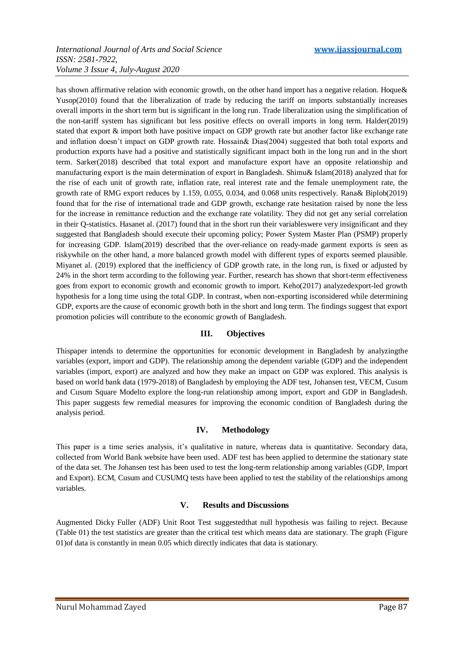has shown affirmative relation with economic growth, on the other hand import has a negative relation. Hoque & Yusop(2010) found that the liberalization of trade by reducing the tariff on imports substantially increases overall imports in the short term but is significant in the long run. Trade liberalization using the simplification of the non-tariff system has significant but less positive effects on overall imports in long term. Halder(2019) stated that export & import both have positive impact on GDP growth rate but another factor like exchange rate and inflation doesn't impact on GDP growth rate. Hossain& Dias(2004) suggested that both total exports and production exports have had a positive and statistically significant impact both in the long run and in the short term. Sarker(2018) described that total export and manufacture export have an opposite relationship and manufacturing export is the main determination of export in Bangladesh. Shimu& Islam(2018) analyzed that for the rise of each unit of growth rate, inflation rate, real interest rate and the female unemployment rate, the growth rate of RMG export reduces by 1.159, 0.055, 0.034, and 0.068 units respectively. Rana& Biplob(2019) found that for the rise of international trade and GDP growth, exchange rate hesitation raised by none the less for the increase in remittance reduction and the exchange rate volatility. They did not get any serial correlation in their Q-statistics. Hasanet al. (2017) found that in the short run their variableswere very insignificant and they suggested that Bangladesh should execute their upcoming policy; Power System Master Plan (PSMP) properly for increasing GDP. Islam(2019) described that the over-reliance on ready-made garment exports is seen as riskywhile on the other hand, a more balanced growth model with different types of exports seemed plausible. Miyanet al. (2019) explored that the inefficiency of GDP growth rate, in the long run, is fixed or adjusted by 24% in the short term according to the following year. Further, research has shown that short-term effectiveness goes from export to economic growth and economic growth to import. Keho(2017) analyzedexport-led growth hypothesis for a long time using the total GDP. In contrast, when non-exporting isconsidered while determining GDP, exports are the cause of economic growth both in the short and long term. The findings suggest that export promotion policies will contribute to the economic growth of Bangladesh.

## **III. Objectives**

Thispaper intends to determine the opportunities for economic development in Bangladesh by analyzingthe variables (export, import and GDP). The relationship among the dependent variable (GDP) and the independent variables (import, export) are analyzed and how they make an impact on GDP was explored. This analysis is based on world bank data (1979-2018) of Bangladesh by employing the ADF test, Johansen test, VECM, Cusum and Cusum Square Modelto explore the long-run relationship among import, export and GDP in Bangladesh. This paper suggests few remedial measures for improving the economic condition of Bangladesh during the analysis period.

## **IV. Methodology**

This paper is a time series analysis, it's qualitative in nature, whereas data is quantitative. Secondary data, collected from World Bank website have been used. ADF test has been applied to determine the stationary state of the data set. The Johansen test has been used to test the long-term relationship among variables (GDP, Import and Export). ECM, Cusum and CUSUMQ tests have been applied to test the stability of the relationships among variables.

## **V. Results and Discussions**

Augmented Dicky Fuller (ADF) Unit Root Test suggestedthat null hypothesis was failing to reject. Because (Table 01) the test statistics are greater than the critical test which means data are stationary. The graph (Figure 01)of data is constantly in mean 0.05 which directly indicates that data is stationary.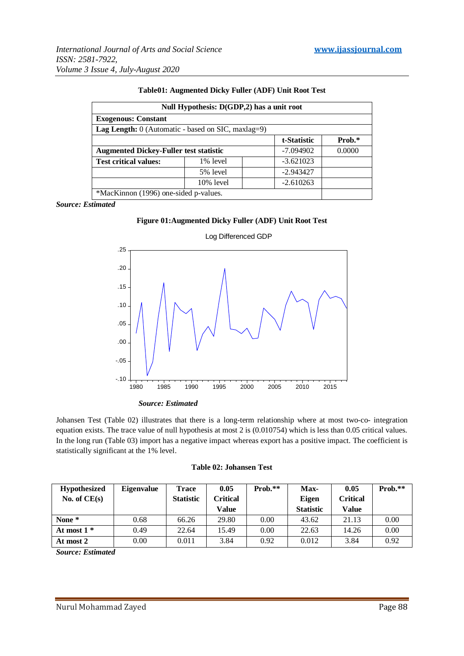| Null Hypothesis: D(GDP,2) has a unit root                   |              |             |        |  |  |
|-------------------------------------------------------------|--------------|-------------|--------|--|--|
| <b>Exogenous: Constant</b>                                  |              |             |        |  |  |
| <b>Lag Length:</b> $0$ (Automatic - based on SIC, maxlag=9) |              |             |        |  |  |
|                                                             |              | t-Statistic | Prob.* |  |  |
| <b>Augmented Dickey-Fuller test statistic</b>               |              | $-7.094902$ | 0.0000 |  |  |
| <b>Test critical values:</b>                                | 1% level     | $-3.621023$ |        |  |  |
|                                                             | 5% level     | $-2.943427$ |        |  |  |
|                                                             | $10\%$ level | $-2.610263$ |        |  |  |
| *MacKinnon (1996) one-sided p-values.                       |              |             |        |  |  |

#### **Table01: Augmented Dicky Fuller (ADF) Unit Root Test**

*Source: Estimated*

#### **Figure 01:Augmented Dicky Fuller (ADF) Unit Root Test**



Log Differenced GDP

Johansen Test (Table 02) illustrates that there is a long-term relationship where at most two-co- integration equation exists. The trace value of null hypothesis at most 2 is (0.010754) which is less than 0.05 critical values. In the long run (Table 03) import has a negative impact whereas export has a positive impact. The coefficient is statistically significant at the 1% level.

|  | <b>Table 02: Johansen Test</b> |  |
|--|--------------------------------|--|
|--|--------------------------------|--|

| <b>Hypothesized</b> | <b>Eigenvalue</b> | <b>Trace</b>     | 0.05            | Prob.** | Max-             | 0.05     | Prob.** |
|---------------------|-------------------|------------------|-----------------|---------|------------------|----------|---------|
| No. of $CE(s)$      |                   | <b>Statistic</b> | <b>Critical</b> |         | Eigen            | Critical |         |
|                     |                   |                  | Value           |         | <b>Statistic</b> | Value    |         |
| None *              | 0.68              | 66.26            | 29.80           | 0.00    | 43.62            | 21.13    | 0.00    |
| At most $1*$        | 0.49              | 22.64            | 15.49           | 0.00    | 22.63            | 14.26    | 0.00    |
| At most 2           | 0.00              | 0.011            | 3.84            | 0.92    | 0.012            | 3.84     | 0.92    |

*Source: Estimated*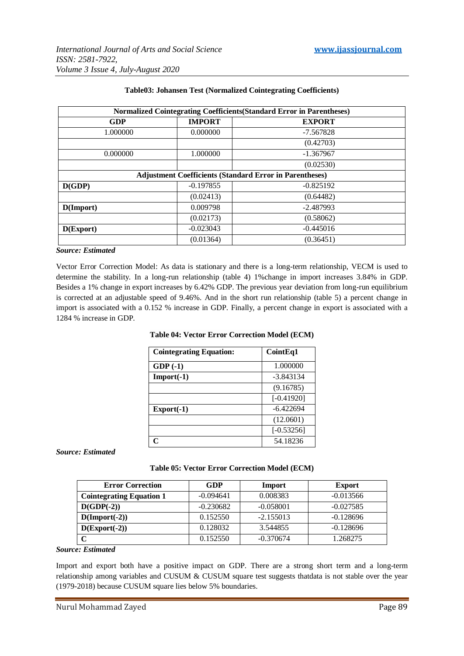| Normalized Cointegrating Coefficients (Standard Error in Parentheses) |                                |             |  |  |
|-----------------------------------------------------------------------|--------------------------------|-------------|--|--|
| GDP                                                                   | <b>IMPORT</b><br><b>EXPORT</b> |             |  |  |
| 1.000000                                                              | 0.000000                       | $-7.567828$ |  |  |
|                                                                       |                                | (0.42703)   |  |  |
| 0.000000                                                              | 1.000000                       | $-1.367967$ |  |  |
|                                                                       |                                | (0.02530)   |  |  |
| <b>Adjustment Coefficients (Standard Error in Parentheses)</b>        |                                |             |  |  |
| D(GDP)                                                                | $-0.197855$<br>$-0.825192$     |             |  |  |
|                                                                       | (0.02413)                      | (0.64482)   |  |  |
| D(Import)                                                             | 0.009798                       | $-2.487993$ |  |  |
|                                                                       | (0.02173)                      | (0.58062)   |  |  |
| D(Export)                                                             | $-0.023043$                    | $-0.445016$ |  |  |
|                                                                       | (0.01364)                      | (0.36451)   |  |  |

# **Table03: Johansen Test (Normalized Cointegrating Coefficients)**

#### *Source: Estimated*

Vector Error Correction Model: As data is stationary and there is a long-term relationship, VECM is used to determine the stability. In a long-run relationship (table 4) 1%change in import increases 3.84% in GDP. Besides a 1% change in export increases by 6.42% GDP. The previous year deviation from long-run equilibrium is corrected at an adjustable speed of 9.46%. And in the short run relationship (table 5) a percent change in import is associated with a 0.152 % increase in GDP. Finally, a percent change in export is associated with a 1284 % increase in GDP.

#### **Table 04: Vector Error Correction Model (ECM)**

| <b>Cointegrating Equation:</b> | Coint Eq1    |
|--------------------------------|--------------|
| $GDP(-1)$                      | 1.000000     |
| $Import(-1)$                   | $-3.843134$  |
|                                | (9.16785)    |
|                                | $[-0.41920]$ |
| $\text{Export}(-1)$            | $-6.422694$  |
|                                | (12.0601)    |
|                                | $[-0.53256]$ |
|                                | 54.18236     |

## *Source: Estimated*

#### **Table 05: Vector Error Correction Model (ECM)**

| <b>Error Correction</b>         | GDP         | Import      | <b>Export</b> |
|---------------------------------|-------------|-------------|---------------|
| <b>Cointegrating Equation 1</b> | $-0.094641$ | 0.008383    | $-0.013566$   |
| $D(GDP(-2))$                    | $-0.230682$ | $-0.058001$ | $-0.027585$   |
| $D(Import(-2))$                 | 0.152550    | $-2.155013$ | $-0.128696$   |
| $D(Expert(-2))$                 | 0.128032    | 3.544855    | $-0.128696$   |
| C                               | 0.152550    | $-0.370674$ | 1.268275      |

#### *Source: Estimated*

Import and export both have a positive impact on GDP. There are a strong short term and a long-term relationship among variables and CUSUM & CUSUM square test suggests thatdata is not stable over the year (1979-2018) because CUSUM square lies below 5% boundaries.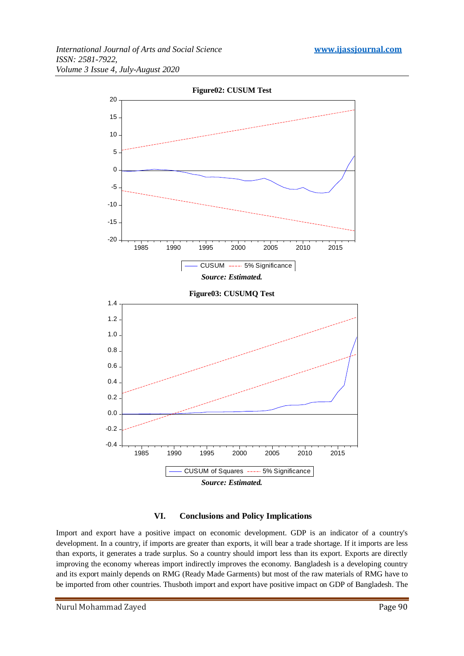

## **VI. Conclusions and Policy Implications**

Import and export have a positive impact on economic development. GDP is an indicator of a country's development. In a country, if imports are greater than exports, it will bear a trade shortage. If it imports are less than exports, it generates a trade surplus. So a country should import less than its export. Exports are directly improving the economy whereas import indirectly improves the economy. Bangladesh is a developing country and its export mainly depends on RMG (Ready Made Garments) but most of the raw materials of RMG have to be imported from other countries. Thusboth import and export have positive impact on GDP of Bangladesh. The